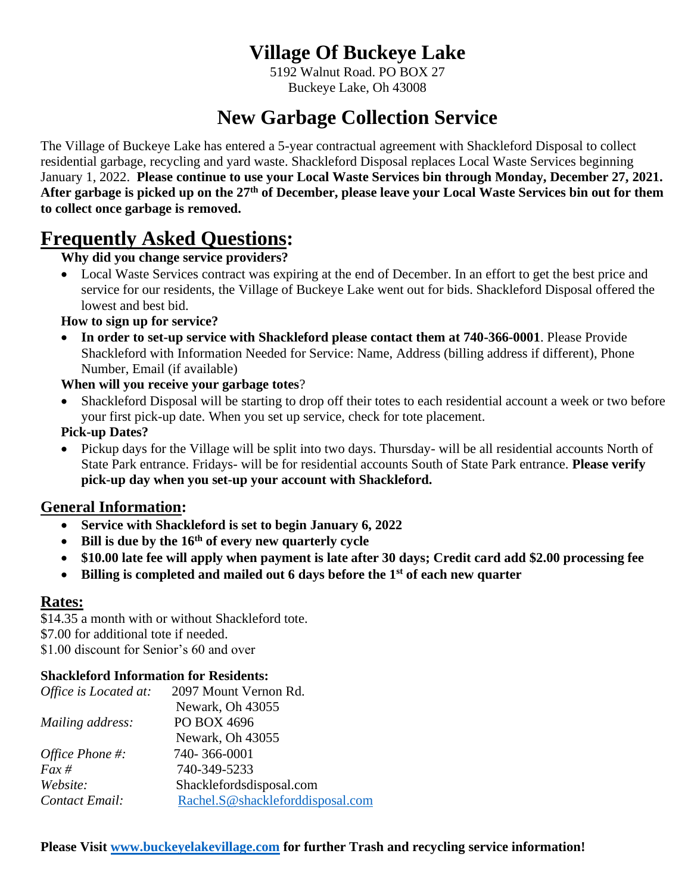## **Village Of Buckeye Lake**

5192 Walnut Road. PO BOX 27 Buckeye Lake, Oh 43008

# **New Garbage Collection Service**

The Village of Buckeye Lake has entered a 5-year contractual agreement with Shackleford Disposal to collect residential garbage, recycling and yard waste. Shackleford Disposal replaces Local Waste Services beginning January 1, 2022. **Please continue to use your Local Waste Services bin through Monday, December 27, 2021. After garbage is picked up on the 27th of December, please leave your Local Waste Services bin out for them to collect once garbage is removed.** 

## **Frequently Asked Questions:**

## **Why did you change service providers?**

• Local Waste Services contract was expiring at the end of December. In an effort to get the best price and service for our residents, the Village of Buckeye Lake went out for bids. Shackleford Disposal offered the lowest and best bid.

## **How to sign up for service?**

• **In order to set-up service with Shackleford please contact them at 740-366-0001**. Please Provide Shackleford with Information Needed for Service: Name, Address (billing address if different), Phone Number, Email (if available)

## **When will you receive your garbage totes**?

• Shackleford Disposal will be starting to drop off their totes to each residential account a week or two before your first pick-up date. When you set up service, check for tote placement.

## **Pick-up Dates?**

• Pickup days for the Village will be split into two days. Thursday- will be all residential accounts North of State Park entrance. Fridays- will be for residential accounts South of State Park entrance. **Please verify pick-up day when you set-up your account with Shackleford.**

## **General Information:**

- **Service with Shackleford is set to begin January 6, 2022**
- **Bill is due by the 16th of every new quarterly cycle**
- **\$10.00 late fee will apply when payment is late after 30 days; Credit card add \$2.00 processing fee**
- **Billing is completed and mailed out 6 days before the 1st of each new quarter**

## **Rates:**

\$14.35 a month with or without Shackleford tote.

\$7.00 for additional tote if needed.

\$1.00 discount for Senior's 60 and over

## **Shackleford Information for Residents:**

| Office is Located at:  | 2097 Mount Vernon Rd.            |
|------------------------|----------------------------------|
|                        | Newark, Oh 43055                 |
| Mailing address:       | PO BOX 4696                      |
|                        | Newark, Oh 43055                 |
| <i>Office Phone #:</i> | 740-366-0001                     |
| $Fax \#$               | 740-349-5233                     |
| Website:               | Shacklefordsdisposal.com         |
| Contact Email:         | Rachel.S@shackleforddisposal.com |
|                        |                                  |